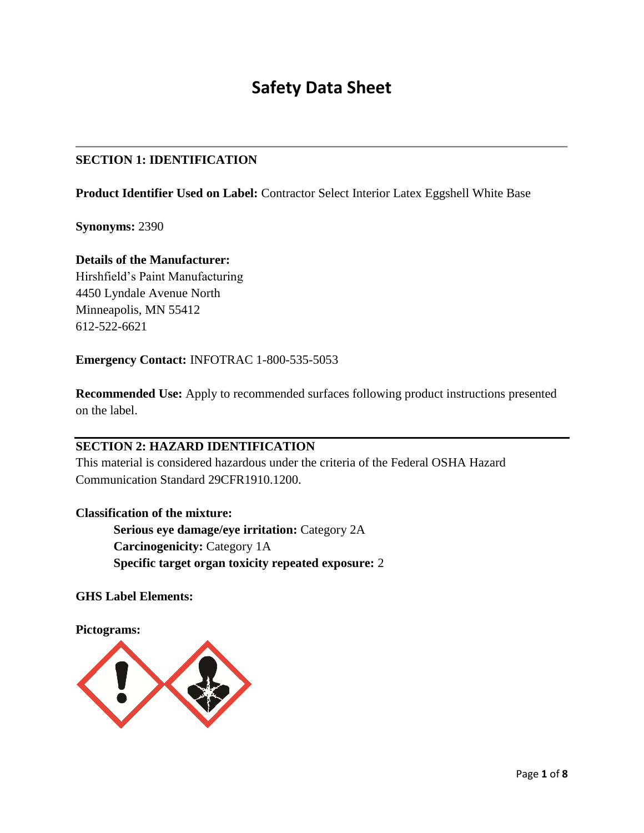# **Safety Data Sheet**

## **SECTION 1: IDENTIFICATION**

**Product Identifier Used on Label:** Contractor Select Interior Latex Eggshell White Base

**Synonyms:** 2390

## **Details of the Manufacturer:**

Hirshfield's Paint Manufacturing 4450 Lyndale Avenue North Minneapolis, MN 55412 612-522-6621

## **Emergency Contact:** INFOTRAC 1-800-535-5053

**Recommended Use:** Apply to recommended surfaces following product instructions presented on the label.

## **SECTION 2: HAZARD IDENTIFICATION**

This material is considered hazardous under the criteria of the Federal OSHA Hazard Communication Standard 29CFR1910.1200.

## **Classification of the mixture:**

**Serious eye damage/eye irritation:** Category 2A **Carcinogenicity:** Category 1A **Specific target organ toxicity repeated exposure:** 2

**GHS Label Elements:**

**Pictograms:**

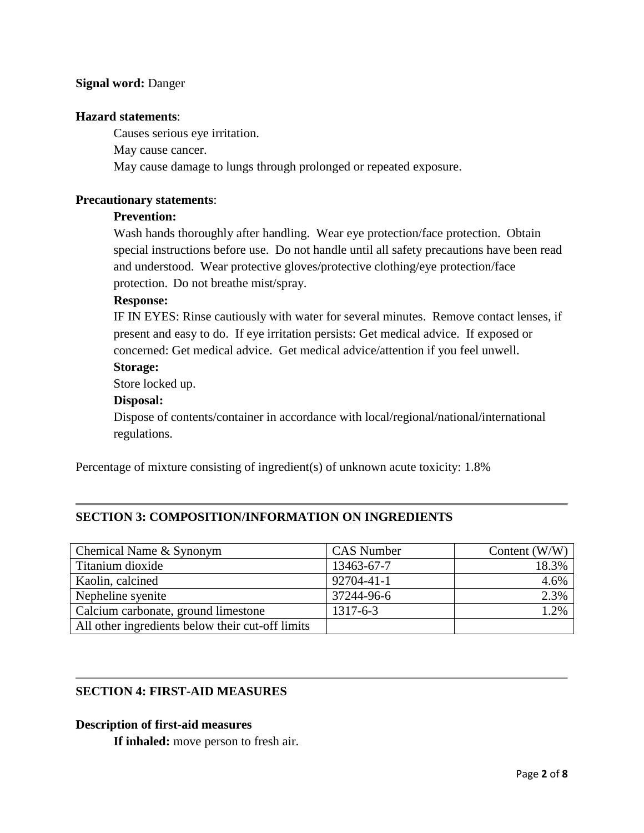## **Signal word:** Danger

#### **Hazard statements**:

Causes serious eye irritation. May cause cancer. May cause damage to lungs through prolonged or repeated exposure.

#### **Precautionary statements**:

## **Prevention:**

Wash hands thoroughly after handling. Wear eye protection/face protection. Obtain special instructions before use. Do not handle until all safety precautions have been read and understood. Wear protective gloves/protective clothing/eye protection/face protection. Do not breathe mist/spray.

#### **Response:**

IF IN EYES: Rinse cautiously with water for several minutes. Remove contact lenses, if present and easy to do. If eye irritation persists: Get medical advice. If exposed or concerned: Get medical advice. Get medical advice/attention if you feel unwell.

#### **Storage:**

Store locked up.

#### **Disposal:**

Dispose of contents/container in accordance with local/regional/national/international regulations.

Percentage of mixture consisting of ingredient(s) of unknown acute toxicity: 1.8%

## **SECTION 3: COMPOSITION/INFORMATION ON INGREDIENTS**

| Chemical Name & Synonym                          | <b>CAS Number</b> | Content (W/W) |
|--------------------------------------------------|-------------------|---------------|
| Titanium dioxide                                 | 13463-67-7        | 18.3%         |
| Kaolin, calcined                                 | 92704-41-1        | 4.6%          |
| Nepheline syenite                                | 37244-96-6        | 2.3%          |
| Calcium carbonate, ground limestone              | 1317-6-3          | 1.2%          |
| All other ingredients below their cut-off limits |                   |               |

## **SECTION 4: FIRST-AID MEASURES**

#### **Description of first-aid measures**

**If inhaled:** move person to fresh air.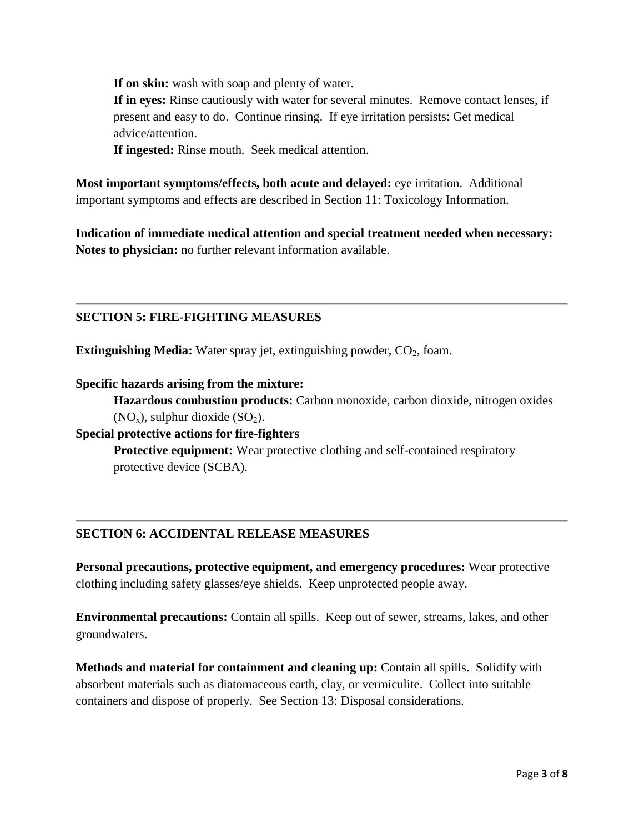**If on skin:** wash with soap and plenty of water.

**If in eyes:** Rinse cautiously with water for several minutes. Remove contact lenses, if present and easy to do. Continue rinsing. If eye irritation persists: Get medical advice/attention.

**If ingested:** Rinse mouth. Seek medical attention.

**Most important symptoms/effects, both acute and delayed:** eye irritation. Additional important symptoms and effects are described in Section 11: Toxicology Information.

**Indication of immediate medical attention and special treatment needed when necessary: Notes to physician:** no further relevant information available.

## **SECTION 5: FIRE-FIGHTING MEASURES**

**Extinguishing Media:** Water spray jet, extinguishing powder, CO<sub>2</sub>, foam.

## **Specific hazards arising from the mixture:**

**Hazardous combustion products:** Carbon monoxide, carbon dioxide, nitrogen oxides  $(NO<sub>x</sub>)$ , sulphur dioxide  $(SO<sub>2</sub>)$ .

## **Special protective actions for fire-fighters**

**Protective equipment:** Wear protective clothing and self-contained respiratory protective device (SCBA).

## **SECTION 6: ACCIDENTAL RELEASE MEASURES**

**Personal precautions, protective equipment, and emergency procedures:** Wear protective clothing including safety glasses/eye shields. Keep unprotected people away.

**Environmental precautions:** Contain all spills.Keep out of sewer, streams, lakes, and other groundwaters.

**Methods and material for containment and cleaning up:** Contain all spills. Solidify with absorbent materials such as diatomaceous earth, clay, or vermiculite. Collect into suitable containers and dispose of properly. See Section 13: Disposal considerations.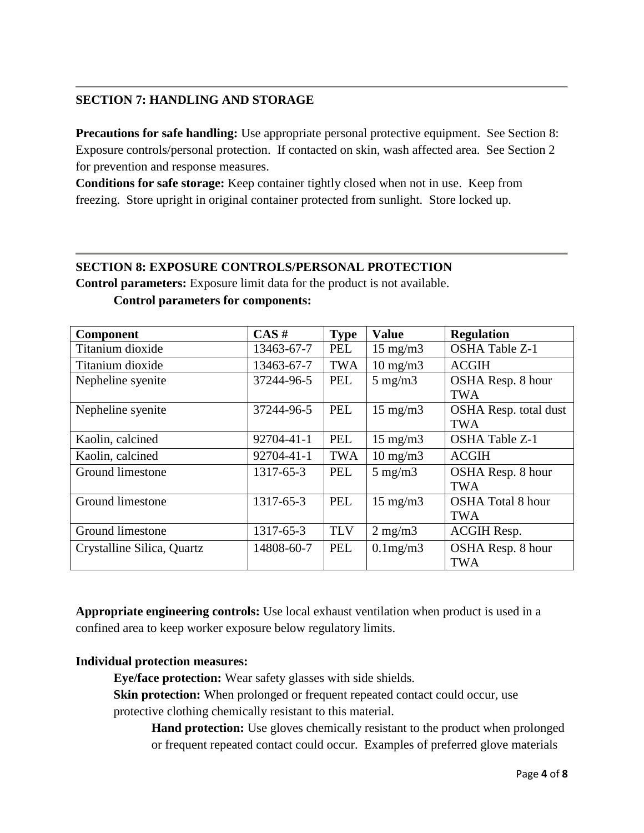## **SECTION 7: HANDLING AND STORAGE**

**Precautions for safe handling:** Use appropriate personal protective equipment. See Section 8: Exposure controls/personal protection. If contacted on skin, wash affected area. See Section 2 for prevention and response measures.

**Conditions for safe storage:** Keep container tightly closed when not in use. Keep from freezing. Store upright in original container protected from sunlight. Store locked up.

## **SECTION 8: EXPOSURE CONTROLS/PERSONAL PROTECTION**

**Control parameters:** Exposure limit data for the product is not available. **Control parameters for components:**

| <b>Component</b>           | CAS#       | <b>Type</b> | <b>Value</b>      | <b>Regulation</b>        |
|----------------------------|------------|-------------|-------------------|--------------------------|
| Titanium dioxide           | 13463-67-7 | PEL         | $15 \text{ mg/m}$ | <b>OSHA Table Z-1</b>    |
| Titanium dioxide           | 13463-67-7 | <b>TWA</b>  | $10 \text{ mg/m}$ | <b>ACGIH</b>             |
| Nepheline syenite          | 37244-96-5 | <b>PEL</b>  | $5 \text{ mg/m}$  | OSHA Resp. 8 hour        |
|                            |            |             |                   | <b>TWA</b>               |
| Nepheline syenite          | 37244-96-5 | <b>PEL</b>  | $15 \text{ mg/m}$ | OSHA Resp. total dust    |
|                            |            |             |                   | <b>TWA</b>               |
| Kaolin, calcined           | 92704-41-1 | PEL         | $15 \text{ mg/m}$ | <b>OSHA Table Z-1</b>    |
| Kaolin, calcined           | 92704-41-1 | <b>TWA</b>  | $10 \text{ mg/m}$ | <b>ACGIH</b>             |
| Ground limestone           | 1317-65-3  | <b>PEL</b>  | $5 \text{ mg/m}$  | OSHA Resp. 8 hour        |
|                            |            |             |                   | <b>TWA</b>               |
| Ground limestone           | 1317-65-3  | <b>PEL</b>  | $15 \text{ mg/m}$ | <b>OSHA</b> Total 8 hour |
|                            |            |             |                   | <b>TWA</b>               |
| Ground limestone           | 1317-65-3  | <b>TLV</b>  | $2 \text{ mg/m}$  | <b>ACGIH Resp.</b>       |
| Crystalline Silica, Quartz | 14808-60-7 | <b>PEL</b>  | $0.1$ mg/m $3$    | OSHA Resp. 8 hour        |
|                            |            |             |                   | <b>TWA</b>               |

**Appropriate engineering controls:** Use local exhaust ventilation when product is used in a confined area to keep worker exposure below regulatory limits.

## **Individual protection measures:**

**Eye/face protection:** Wear safety glasses with side shields.

**Skin protection:** When prolonged or frequent repeated contact could occur, use protective clothing chemically resistant to this material.

**Hand protection:** Use gloves chemically resistant to the product when prolonged or frequent repeated contact could occur. Examples of preferred glove materials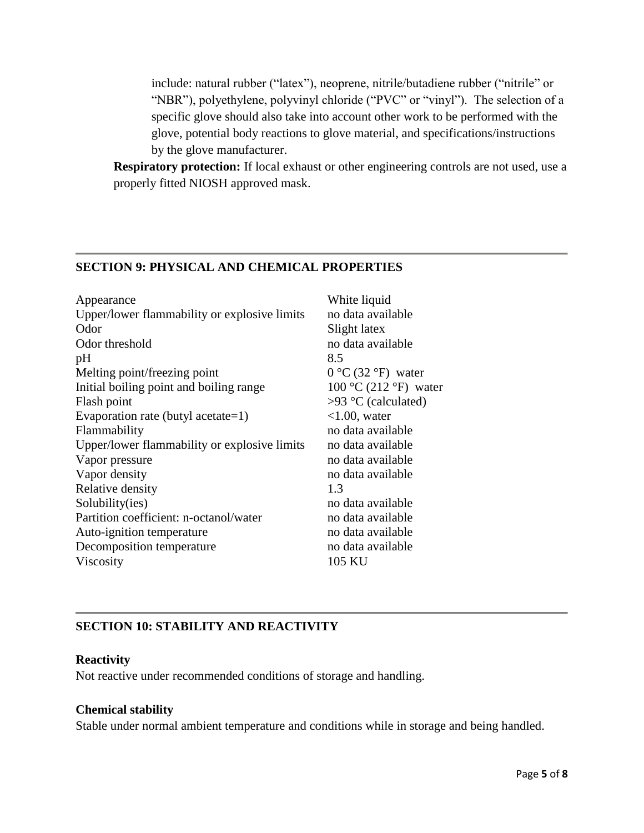include: natural rubber ("latex"), neoprene, nitrile/butadiene rubber ("nitrile" or "NBR"), polyethylene, polyvinyl chloride ("PVC" or "vinyl"). The selection of a specific glove should also take into account other work to be performed with the glove, potential body reactions to glove material, and specifications/instructions by the glove manufacturer.

**Respiratory protection:** If local exhaust or other engineering controls are not used, use a properly fitted NIOSH approved mask.

## **SECTION 9: PHYSICAL AND CHEMICAL PROPERTIES**

| Appearance                                   | White liqui     |
|----------------------------------------------|-----------------|
| Upper/lower flammability or explosive limits | no data ava     |
| Odor                                         | Slight latex    |
| Odor threshold                               | no data ava     |
| pH                                           | 8.5             |
| Melting point/freezing point                 | $0 °C$ (32 $°F$ |
| Initial boiling point and boiling range      | 100 °C (212     |
| Flash point                                  | $>93$ °C (cal   |
| Evaporation rate (butyl acetate=1)           | $<1.00$ , wate  |
| Flammability                                 | no data ava     |
| Upper/lower flammability or explosive limits | no data ava     |
| Vapor pressure                               | no data ava     |
| Vapor density                                | no data ava     |
| Relative density                             | 1.3             |
| Solubility(ies)                              | no data ava     |
| Partition coefficient: n-octanol/water       | no data ava     |
| Auto-ignition temperature                    | no data ava     |
| Decomposition temperature                    | no data ava     |
| Viscosity                                    | 105 KU          |
|                                              |                 |

ite liquid data available data available  $C(32 \text{ °F})$  water  $\rm ^{\circ}C$  (212  $\rm ^{\circ}F)$  water  $^{\circ}$ C (calculated) 00, water data available data available data available data available data available data available data available data available

## **SECTION 10: STABILITY AND REACTIVITY**

## **Reactivity**

Not reactive under recommended conditions of storage and handling.

## **Chemical stability**

Stable under normal ambient temperature and conditions while in storage and being handled.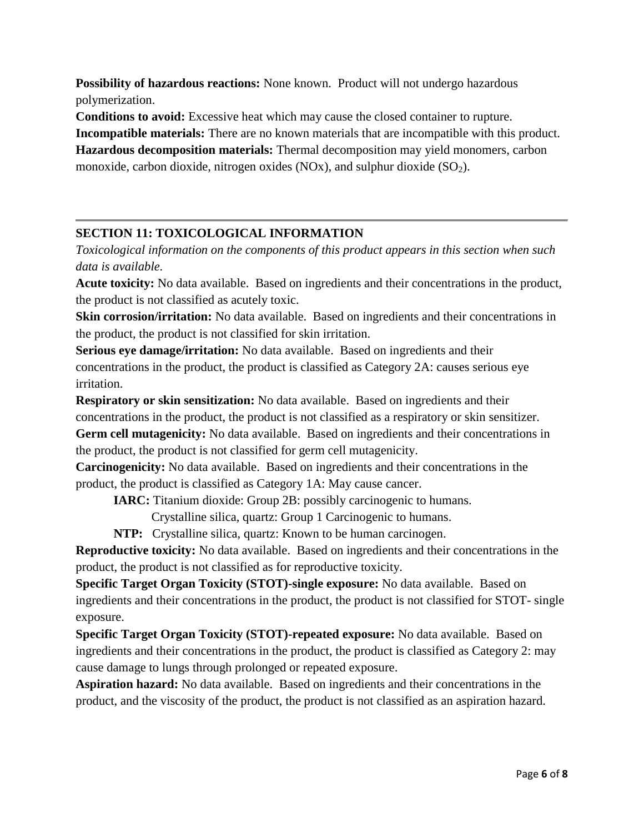**Possibility of hazardous reactions:** None known. Product will not undergo hazardous polymerization.

**Conditions to avoid:** Excessive heat which may cause the closed container to rupture.

**Incompatible materials:** There are no known materials that are incompatible with this product. **Hazardous decomposition materials:** Thermal decomposition may yield monomers, carbon monoxide, carbon dioxide, nitrogen oxides (NOx), and sulphur dioxide  $(SO<sub>2</sub>)$ .

# **SECTION 11: TOXICOLOGICAL INFORMATION**

*Toxicological information on the components of this product appears in this section when such data is available.*

**Acute toxicity:** No data available. Based on ingredients and their concentrations in the product, the product is not classified as acutely toxic.

**Skin corrosion/irritation:** No data available. Based on ingredients and their concentrations in the product, the product is not classified for skin irritation.

**Serious eye damage/irritation:** No data available. Based on ingredients and their concentrations in the product, the product is classified as Category 2A: causes serious eye irritation.

**Respiratory or skin sensitization:** No data available. Based on ingredients and their concentrations in the product, the product is not classified as a respiratory or skin sensitizer. **Germ cell mutagenicity:** No data available. Based on ingredients and their concentrations in the product, the product is not classified for germ cell mutagenicity.

**Carcinogenicity:** No data available. Based on ingredients and their concentrations in the product, the product is classified as Category 1A: May cause cancer.

**IARC:** Titanium dioxide: Group 2B: possibly carcinogenic to humans.

Crystalline silica, quartz: Group 1 Carcinogenic to humans.

**NTP:** Crystalline silica, quartz: Known to be human carcinogen.

**Reproductive toxicity:** No data available. Based on ingredients and their concentrations in the product, the product is not classified as for reproductive toxicity.

**Specific Target Organ Toxicity (STOT)-single exposure:** No data available. Based on ingredients and their concentrations in the product, the product is not classified for STOT- single exposure.

**Specific Target Organ Toxicity (STOT)-repeated exposure:** No data available. Based on ingredients and their concentrations in the product, the product is classified as Category 2: may cause damage to lungs through prolonged or repeated exposure.

**Aspiration hazard:** No data available. Based on ingredients and their concentrations in the product, and the viscosity of the product, the product is not classified as an aspiration hazard.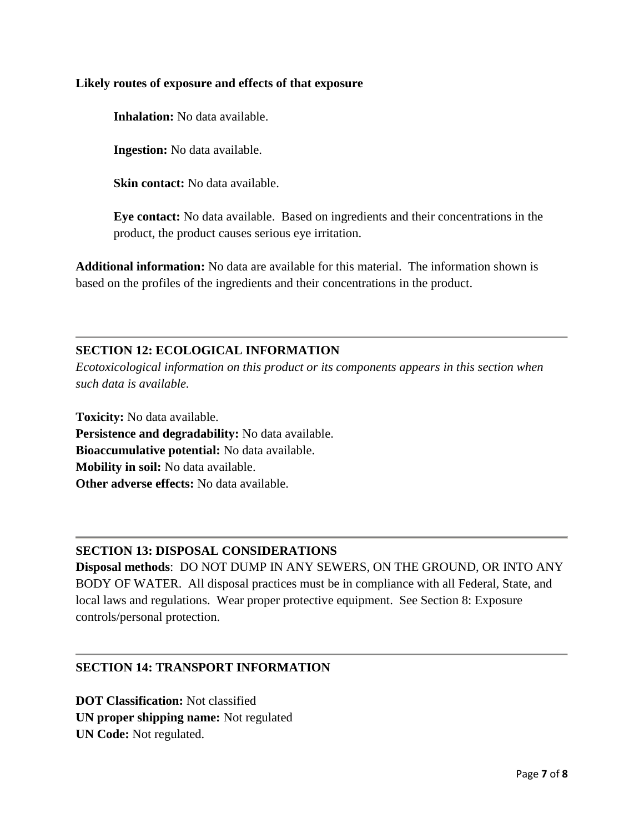## **Likely routes of exposure and effects of that exposure**

**Inhalation:** No data available.

**Ingestion:** No data available.

**Skin contact:** No data available.

**Eye contact:** No data available. Based on ingredients and their concentrations in the product, the product causes serious eye irritation.

**Additional information:** No data are available for this material. The information shown is based on the profiles of the ingredients and their concentrations in the product.

## **SECTION 12: ECOLOGICAL INFORMATION**

*Ecotoxicological information on this product or its components appears in this section when such data is available.*

**Toxicity:** No data available. **Persistence and degradability:** No data available. **Bioaccumulative potential:** No data available. **Mobility in soil:** No data available. **Other adverse effects:** No data available.

## **SECTION 13: DISPOSAL CONSIDERATIONS**

**Disposal methods**: DO NOT DUMP IN ANY SEWERS, ON THE GROUND, OR INTO ANY BODY OF WATER. All disposal practices must be in compliance with all Federal, State, and local laws and regulations. Wear proper protective equipment. See Section 8: Exposure controls/personal protection.

## **SECTION 14: TRANSPORT INFORMATION**

**DOT Classification:** Not classified **UN proper shipping name:** Not regulated **UN Code:** Not regulated.